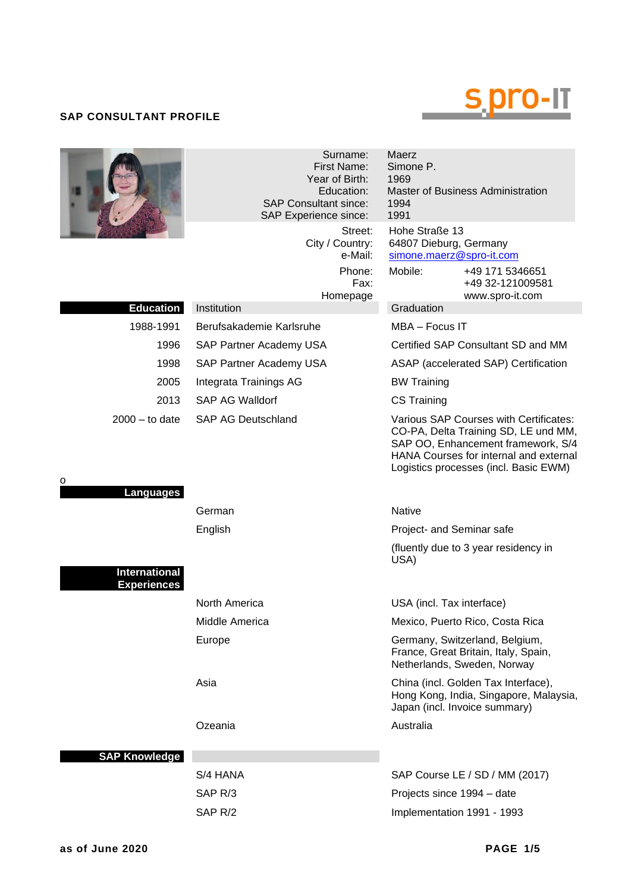

**Contract** 

|                                            | Surname:<br>First Name:<br>Year of Birth:<br>Education:<br><b>SAP Consultant since:</b><br>SAP Experience since:<br>Street:<br>City / Country:<br>e-Mail:<br>Phone: | Maerz<br>Simone P.<br>1969<br>Master of Business Administration<br>1994<br>1991<br>Hohe Straße 13<br>64807 Dieburg, Germany<br>simone.maerz@spro-it.com<br>Mobile:<br>+49 171 5346651                   |
|--------------------------------------------|---------------------------------------------------------------------------------------------------------------------------------------------------------------------|---------------------------------------------------------------------------------------------------------------------------------------------------------------------------------------------------------|
|                                            | Fax:<br>Homepage                                                                                                                                                    | +49 32-121009581<br>www.spro-it.com                                                                                                                                                                     |
| <b>Education</b>                           | Institution                                                                                                                                                         | Graduation                                                                                                                                                                                              |
| 1988-1991                                  | Berufsakademie Karlsruhe                                                                                                                                            | MBA - Focus IT                                                                                                                                                                                          |
| 1996                                       | <b>SAP Partner Academy USA</b>                                                                                                                                      | Certified SAP Consultant SD and MM                                                                                                                                                                      |
| 1998                                       | SAP Partner Academy USA                                                                                                                                             | ASAP (accelerated SAP) Certification                                                                                                                                                                    |
| 2005                                       | Integrata Trainings AG                                                                                                                                              | <b>BW Training</b>                                                                                                                                                                                      |
| 2013                                       | SAP AG Walldorf                                                                                                                                                     | <b>CS Training</b>                                                                                                                                                                                      |
| $2000 -$ to date                           | <b>SAP AG Deutschland</b>                                                                                                                                           | Various SAP Courses with Certificates:<br>CO-PA, Delta Training SD, LE und MM,<br>SAP OO, Enhancement framework, S/4<br>HANA Courses for internal and external<br>Logistics processes (incl. Basic EWM) |
| о<br>Languages                             |                                                                                                                                                                     |                                                                                                                                                                                                         |
|                                            | German                                                                                                                                                              | <b>Native</b>                                                                                                                                                                                           |
|                                            | English                                                                                                                                                             | Project- and Seminar safe                                                                                                                                                                               |
|                                            |                                                                                                                                                                     | (fluently due to 3 year residency in<br>USA)                                                                                                                                                            |
| <b>International</b><br><b>Experiences</b> |                                                                                                                                                                     |                                                                                                                                                                                                         |
|                                            | North America                                                                                                                                                       | USA (incl. Tax interface)                                                                                                                                                                               |
|                                            | Middle America                                                                                                                                                      | Mexico, Puerto Rico, Costa Rica                                                                                                                                                                         |
|                                            | Europe                                                                                                                                                              | Germany, Switzerland, Belgium,<br>France, Great Britain, Italy, Spain,<br>Netherlands, Sweden, Norway                                                                                                   |
|                                            | Asia                                                                                                                                                                | China (incl. Golden Tax Interface),<br>Hong Kong, India, Singapore, Malaysia,<br>Japan (incl. Invoice summary)                                                                                          |
|                                            | Ozeania                                                                                                                                                             | Australia                                                                                                                                                                                               |
| <b>SAP Knowledge</b>                       |                                                                                                                                                                     |                                                                                                                                                                                                         |
|                                            | S/4 HANA                                                                                                                                                            | SAP Course LE / SD / MM (2017)                                                                                                                                                                          |
|                                            | SAP <sub>R/3</sub>                                                                                                                                                  | Projects since 1994 - date                                                                                                                                                                              |
|                                            | SAP R/2                                                                                                                                                             | Implementation 1991 - 1993                                                                                                                                                                              |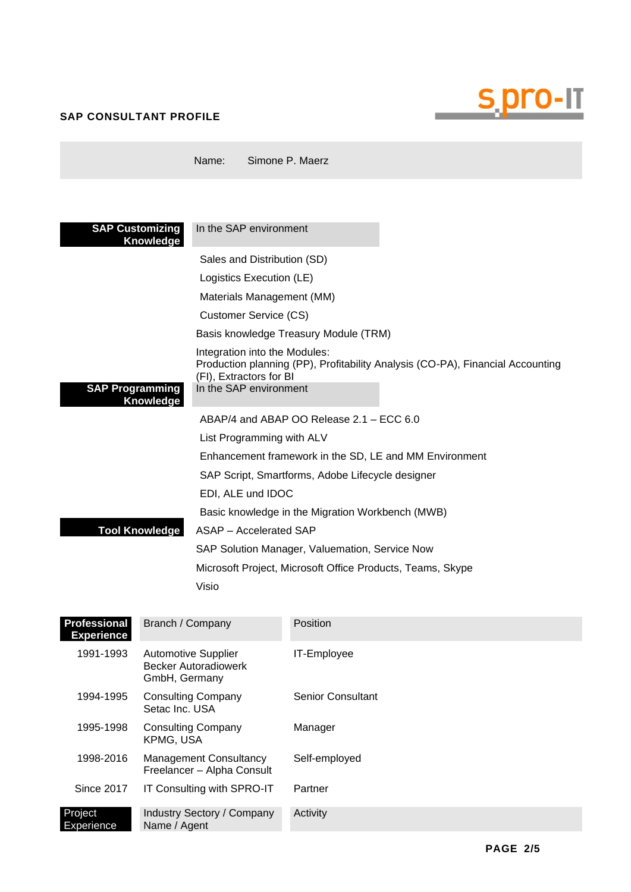

**Experience** 

Name / Agent

|                                                  |                                                                            | Name:                      |                                                        | Simone P. Maerz                                  |                                                                                |
|--------------------------------------------------|----------------------------------------------------------------------------|----------------------------|--------------------------------------------------------|--------------------------------------------------|--------------------------------------------------------------------------------|
|                                                  |                                                                            | In the SAP environment     |                                                        |                                                  |                                                                                |
| <b>SAP Customizing</b><br>Knowledge              |                                                                            |                            |                                                        |                                                  |                                                                                |
|                                                  |                                                                            |                            | Sales and Distribution (SD)                            |                                                  |                                                                                |
|                                                  |                                                                            |                            | Logistics Execution (LE)                               |                                                  |                                                                                |
|                                                  |                                                                            |                            | Materials Management (MM)                              |                                                  |                                                                                |
| Customer Service (CS)                            |                                                                            |                            |                                                        |                                                  |                                                                                |
|                                                  |                                                                            |                            |                                                        | Basis knowledge Treasury Module (TRM)            |                                                                                |
| <b>SAP Programming</b>                           |                                                                            |                            | (FI), Extractors for BI<br>In the SAP environment      | Integration into the Modules:                    | Production planning (PP), Profitability Analysis (CO-PA), Financial Accounting |
| Knowledge                                        |                                                                            |                            |                                                        | ABAP/4 and ABAP OO Release 2.1 - ECC 6.0         |                                                                                |
|                                                  |                                                                            |                            | List Programming with ALV                              |                                                  |                                                                                |
|                                                  |                                                                            |                            | Enhancement framework in the SD, LE and MM Environment |                                                  |                                                                                |
| SAP Script, Smartforms, Adobe Lifecycle designer |                                                                            |                            |                                                        |                                                  |                                                                                |
| EDI, ALE und IDOC                                |                                                                            |                            |                                                        |                                                  |                                                                                |
|                                                  |                                                                            |                            |                                                        | Basic knowledge in the Migration Workbench (MWB) |                                                                                |
|                                                  | <b>Tool Knowledge</b>                                                      | ASAP - Accelerated SAP     |                                                        |                                                  |                                                                                |
|                                                  |                                                                            |                            |                                                        | SAP Solution Manager, Valuemation, Service Now   |                                                                                |
|                                                  |                                                                            |                            |                                                        |                                                  | Microsoft Project, Microsoft Office Products, Teams, Skype                     |
|                                                  |                                                                            | Visio                      |                                                        |                                                  |                                                                                |
|                                                  |                                                                            |                            |                                                        |                                                  |                                                                                |
| Professional<br><b>Experience</b>                | Branch / Company                                                           |                            |                                                        | Position                                         |                                                                                |
| 1991-1993                                        | <b>Automotive Supplier</b><br><b>Becker Autoradiowerk</b><br>GmbH, Germany |                            | IT-Employee                                            |                                                  |                                                                                |
| 1994-1995                                        | <b>Consulting Company</b><br>Setac Inc. USA                                |                            | <b>Senior Consultant</b>                               |                                                  |                                                                                |
| 1995-1998                                        | <b>Consulting Company</b><br>KPMG, USA                                     |                            | Manager                                                |                                                  |                                                                                |
| 1998-2016                                        | <b>Management Consultancy</b><br>Freelancer - Alpha Consult                |                            | Self-employed                                          |                                                  |                                                                                |
| <b>Since 2017</b>                                |                                                                            | IT Consulting with SPRO-IT |                                                        | Partner                                          |                                                                                |
| Project                                          | Industry Sectory / Company                                                 |                            | Activity                                               |                                                  |                                                                                |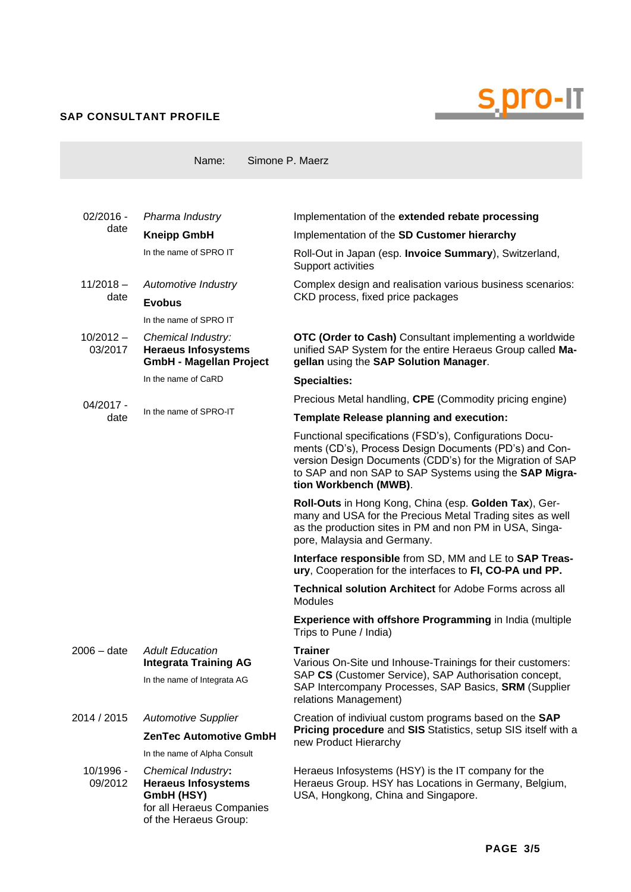

|                        | Name:                                                                                                                | Simone P. Maerz                                                                                                                                                                                                                                                   |  |
|------------------------|----------------------------------------------------------------------------------------------------------------------|-------------------------------------------------------------------------------------------------------------------------------------------------------------------------------------------------------------------------------------------------------------------|--|
|                        |                                                                                                                      |                                                                                                                                                                                                                                                                   |  |
| $02/2016 -$            | Pharma Industry                                                                                                      | Implementation of the extended rebate processing                                                                                                                                                                                                                  |  |
| date                   | <b>Kneipp GmbH</b>                                                                                                   | Implementation of the SD Customer hierarchy                                                                                                                                                                                                                       |  |
|                        | In the name of SPRO IT                                                                                               | Roll-Out in Japan (esp. Invoice Summary), Switzerland,<br>Support activities                                                                                                                                                                                      |  |
| $11/2018 -$<br>date    | Automotive Industry<br><b>Evobus</b>                                                                                 | Complex design and realisation various business scenarios:<br>CKD process, fixed price packages                                                                                                                                                                   |  |
|                        | In the name of SPRO IT                                                                                               |                                                                                                                                                                                                                                                                   |  |
| $10/2012 -$<br>03/2017 | Chemical Industry:<br><b>Heraeus Infosystems</b><br><b>GmbH - Magellan Project</b>                                   | <b>OTC (Order to Cash)</b> Consultant implementing a worldwide<br>unified SAP System for the entire Heraeus Group called Ma-<br>gellan using the SAP Solution Manager.                                                                                            |  |
|                        | In the name of CaRD                                                                                                  | <b>Specialties:</b>                                                                                                                                                                                                                                               |  |
| 04/2017 -<br>date      |                                                                                                                      | Precious Metal handling, CPE (Commodity pricing engine)                                                                                                                                                                                                           |  |
|                        | In the name of SPRO-IT                                                                                               | <b>Template Release planning and execution:</b>                                                                                                                                                                                                                   |  |
|                        |                                                                                                                      | Functional specifications (FSD's), Configurations Docu-<br>ments (CD's), Process Design Documents (PD's) and Con-<br>version Design Documents (CDD's) for the Migration of SAP<br>to SAP and non SAP to SAP Systems using the SAP Migra-<br>tion Workbench (MWB). |  |
|                        |                                                                                                                      | Roll-Outs in Hong Kong, China (esp. Golden Tax), Ger-<br>many and USA for the Precious Metal Trading sites as well<br>as the production sites in PM and non PM in USA, Singa-<br>pore, Malaysia and Germany.                                                      |  |
|                        |                                                                                                                      | Interface responsible from SD, MM and LE to SAP Treas-<br>ury, Cooperation for the interfaces to FI, CO-PA und PP.                                                                                                                                                |  |
|                        |                                                                                                                      | <b>Technical solution Architect for Adobe Forms across all</b><br>Modules                                                                                                                                                                                         |  |
|                        |                                                                                                                      | Experience with offshore Programming in India (multiple<br>Trips to Pune / India)                                                                                                                                                                                 |  |
| $2006 - date$          | <b>Adult Education</b><br><b>Integrata Training AG</b><br>In the name of Integrata AG                                | <b>Trainer</b><br>Various On-Site und Inhouse-Trainings for their customers:<br>SAP CS (Customer Service), SAP Authorisation concept,<br>SAP Intercompany Processes, SAP Basics, SRM (Supplier<br>relations Management)                                           |  |
| 2014 / 2015            | <b>Automotive Supplier</b><br><b>ZenTec Automotive GmbH</b><br>In the name of Alpha Consult                          | Creation of indiviual custom programs based on the SAP<br>Pricing procedure and SIS Statistics, setup SIS itself with a<br>new Product Hierarchy                                                                                                                  |  |
| 10/1996 -<br>09/2012   | Chemical Industry:<br><b>Heraeus Infosystems</b><br>GmbH (HSY)<br>for all Heraeus Companies<br>of the Heraeus Group: | Heraeus Infosystems (HSY) is the IT company for the<br>Heraeus Group. HSY has Locations in Germany, Belgium,<br>USA, Hongkong, China and Singapore.                                                                                                               |  |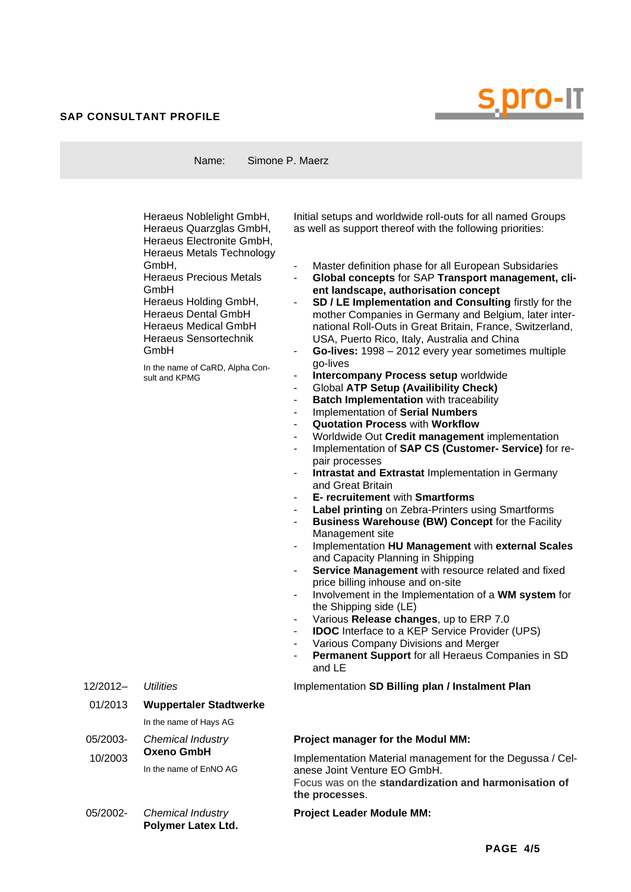Name: Simone P. Maerz



|            | Heraeus Noblelight GmbH,<br>Heraeus Quarzglas GmbH,<br>Heraeus Electronite GmbH,<br>Heraeus Metals Technology<br>GmbH,<br><b>Heraeus Precious Metals</b><br>GmbH<br>Heraeus Holding GmbH,<br><b>Heraeus Dental GmbH</b><br><b>Heraeus Medical GmbH</b><br>Heraeus Sensortechnik<br>GmbH<br>In the name of CaRD, Alpha Con-<br>sult and KPMG | Initial setups and worldwide roll-outs for all named Groups<br>as well as support thereof with the following priorities:<br>Master definition phase for all European Subsidaries<br>$\overline{\phantom{m}}$<br>Global concepts for SAP Transport management, cli-<br>$\qquad \qquad \blacksquare$<br>ent landscape, authorisation concept<br>SD / LE Implementation and Consulting firstly for the<br>$\overline{\phantom{a}}$<br>mother Companies in Germany and Belgium, later inter-<br>national Roll-Outs in Great Britain, France, Switzerland,<br>USA, Puerto Rico, Italy, Australia and China<br>Go-lives: 1998 - 2012 every year sometimes multiple<br>۰<br>go-lives<br>Intercompany Process setup worldwide<br>$\blacksquare$<br>Global ATP Setup (Availibility Check)<br>$\overline{\phantom{a}}$<br><b>Batch Implementation with traceability</b><br>$\overline{\phantom{a}}$<br><b>Implementation of Serial Numbers</b><br>$\blacksquare$<br><b>Quotation Process with Workflow</b><br>Worldwide Out Credit management implementation<br>Implementation of SAP CS (Customer- Service) for re-<br>$\blacksquare$<br>pair processes<br>Intrastat and Extrastat Implementation in Germany<br>$\blacksquare$<br>and Great Britain<br>E- recruitement with Smartforms<br>$\blacksquare$<br>Label printing on Zebra-Printers using Smartforms<br>Business Warehouse (BW) Concept for the Facility<br>$\blacksquare$<br>Management site<br>Implementation HU Management with external Scales<br>and Capacity Planning in Shipping<br>Service Management with resource related and fixed<br>$\overline{\phantom{0}}$<br>price billing inhouse and on-site<br>Involvement in the Implementation of a WM system for<br>$\blacksquare$<br>the Shipping side (LE)<br>Various Release changes, up to ERP 7.0<br>۰<br><b>IDOC</b> Interface to a KEP Service Provider (UPS)<br>$\blacksquare$<br>Various Company Divisions and Merger<br>$\overline{\phantom{a}}$<br>Permanent Support for all Heraeus Companies in SD<br>and LE |
|------------|---------------------------------------------------------------------------------------------------------------------------------------------------------------------------------------------------------------------------------------------------------------------------------------------------------------------------------------------|---------------------------------------------------------------------------------------------------------------------------------------------------------------------------------------------------------------------------------------------------------------------------------------------------------------------------------------------------------------------------------------------------------------------------------------------------------------------------------------------------------------------------------------------------------------------------------------------------------------------------------------------------------------------------------------------------------------------------------------------------------------------------------------------------------------------------------------------------------------------------------------------------------------------------------------------------------------------------------------------------------------------------------------------------------------------------------------------------------------------------------------------------------------------------------------------------------------------------------------------------------------------------------------------------------------------------------------------------------------------------------------------------------------------------------------------------------------------------------------------------------------------------------------------------------------------------------------------------------------------------------------------------------------------------------------------------------------------------------------------------------------------------------------------------------------------------------------------------------------------------------------------------------------------------------------------------------------------------------------------------------------------------------|
| $12/2012-$ | <b>Utilities</b>                                                                                                                                                                                                                                                                                                                            | Implementation SD Billing plan / Instalment Plan                                                                                                                                                                                                                                                                                                                                                                                                                                                                                                                                                                                                                                                                                                                                                                                                                                                                                                                                                                                                                                                                                                                                                                                                                                                                                                                                                                                                                                                                                                                                                                                                                                                                                                                                                                                                                                                                                                                                                                                |
| 01/2013    | <b>Wuppertaler Stadtwerke</b>                                                                                                                                                                                                                                                                                                               |                                                                                                                                                                                                                                                                                                                                                                                                                                                                                                                                                                                                                                                                                                                                                                                                                                                                                                                                                                                                                                                                                                                                                                                                                                                                                                                                                                                                                                                                                                                                                                                                                                                                                                                                                                                                                                                                                                                                                                                                                                 |
|            | In the name of Hays AG                                                                                                                                                                                                                                                                                                                      |                                                                                                                                                                                                                                                                                                                                                                                                                                                                                                                                                                                                                                                                                                                                                                                                                                                                                                                                                                                                                                                                                                                                                                                                                                                                                                                                                                                                                                                                                                                                                                                                                                                                                                                                                                                                                                                                                                                                                                                                                                 |
| 05/2003-   | <b>Chemical Industry</b><br><b>Oxeno GmbH</b>                                                                                                                                                                                                                                                                                               | Project manager for the Modul MM:                                                                                                                                                                                                                                                                                                                                                                                                                                                                                                                                                                                                                                                                                                                                                                                                                                                                                                                                                                                                                                                                                                                                                                                                                                                                                                                                                                                                                                                                                                                                                                                                                                                                                                                                                                                                                                                                                                                                                                                               |
| 10/2003    | In the name of EnNO AG                                                                                                                                                                                                                                                                                                                      | Implementation Material management for the Degussa / Cel-<br>anese Joint Venture EO GmbH.<br>Focus was on the standardization and harmonisation of<br>the processes.                                                                                                                                                                                                                                                                                                                                                                                                                                                                                                                                                                                                                                                                                                                                                                                                                                                                                                                                                                                                                                                                                                                                                                                                                                                                                                                                                                                                                                                                                                                                                                                                                                                                                                                                                                                                                                                            |
| 05/2002-   | <b>Chemical Industry</b><br>Polymer Latex Ltd.                                                                                                                                                                                                                                                                                              | <b>Project Leader Module MM:</b>                                                                                                                                                                                                                                                                                                                                                                                                                                                                                                                                                                                                                                                                                                                                                                                                                                                                                                                                                                                                                                                                                                                                                                                                                                                                                                                                                                                                                                                                                                                                                                                                                                                                                                                                                                                                                                                                                                                                                                                                |